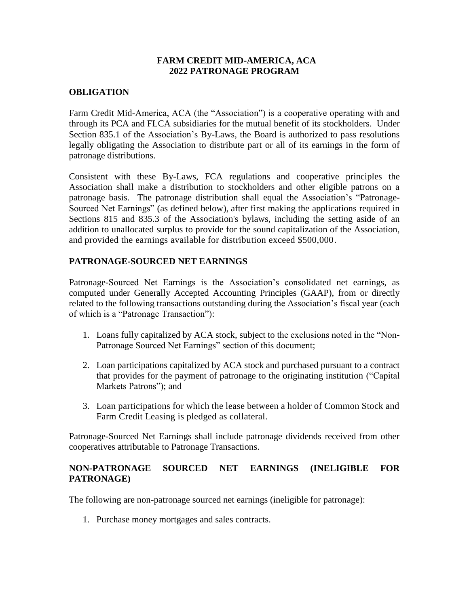#### **FARM CREDIT MID-AMERICA, ACA 2022 PATRONAGE PROGRAM**

# **OBLIGATION**

Farm Credit Mid-America, ACA (the "Association") is a cooperative operating with and through its PCA and FLCA subsidiaries for the mutual benefit of its stockholders. Under Section 835.1 of the Association's By-Laws, the Board is authorized to pass resolutions legally obligating the Association to distribute part or all of its earnings in the form of patronage distributions.

Consistent with these By-Laws, FCA regulations and cooperative principles the Association shall make a distribution to stockholders and other eligible patrons on a patronage basis. The patronage distribution shall equal the Association's "Patronage-Sourced Net Earnings" (as defined below), after first making the applications required in Sections 815 and 835.3 of the Association's bylaws, including the setting aside of an addition to unallocated surplus to provide for the sound capitalization of the Association, and provided the earnings available for distribution exceed \$500,000.

# **PATRONAGE-SOURCED NET EARNINGS**

Patronage-Sourced Net Earnings is the Association's consolidated net earnings, as computed under Generally Accepted Accounting Principles (GAAP), from or directly related to the following transactions outstanding during the Association's fiscal year (each of which is a "Patronage Transaction"):

- 1. Loans fully capitalized by ACA stock, subject to the exclusions noted in the "Non-Patronage Sourced Net Earnings" section of this document;
- 2. Loan participations capitalized by ACA stock and purchased pursuant to a contract that provides for the payment of patronage to the originating institution ("Capital Markets Patrons"); and
- 3. Loan participations for which the lease between a holder of Common Stock and Farm Credit Leasing is pledged as collateral.

Patronage-Sourced Net Earnings shall include patronage dividends received from other cooperatives attributable to Patronage Transactions.

# **NON-PATRONAGE SOURCED NET EARNINGS (INELIGIBLE FOR PATRONAGE)**

The following are non-patronage sourced net earnings (ineligible for patronage):

1. Purchase money mortgages and sales contracts.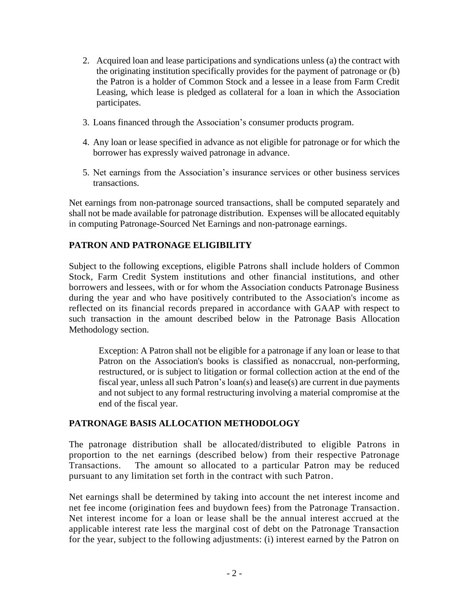- 2. Acquired loan and lease participations and syndications unless (a) the contract with the originating institution specifically provides for the payment of patronage or (b) the Patron is a holder of Common Stock and a lessee in a lease from Farm Credit Leasing, which lease is pledged as collateral for a loan in which the Association participates.
- 3. Loans financed through the Association's consumer products program.
- 4. Any loan or lease specified in advance as not eligible for patronage or for which the borrower has expressly waived patronage in advance.
- 5. Net earnings from the Association's insurance services or other business services transactions.

Net earnings from non-patronage sourced transactions, shall be computed separately and shall not be made available for patronage distribution. Expenses will be allocated equitably in computing Patronage-Sourced Net Earnings and non-patronage earnings.

# **PATRON AND PATRONAGE ELIGIBILITY**

Subject to the following exceptions, eligible Patrons shall include holders of Common Stock, Farm Credit System institutions and other financial institutions, and other borrowers and lessees, with or for whom the Association conducts Patronage Business during the year and who have positively contributed to the Association's income as reflected on its financial records prepared in accordance with GAAP with respect to such transaction in the amount described below in the Patronage Basis Allocation Methodology section.

Exception: A Patron shall not be eligible for a patronage if any loan or lease to that Patron on the Association's books is classified as nonaccrual, non-performing, restructured, or is subject to litigation or formal collection action at the end of the fiscal year, unless all such Patron's loan(s) and lease(s) are current in due payments and not subject to any formal restructuring involving a material compromise at the end of the fiscal year.

# **PATRONAGE BASIS ALLOCATION METHODOLOGY**

The patronage distribution shall be allocated/distributed to eligible Patrons in proportion to the net earnings (described below) from their respective Patronage Transactions. The amount so allocated to a particular Patron may be reduced pursuant to any limitation set forth in the contract with such Patron.

Net earnings shall be determined by taking into account the net interest income and net fee income (origination fees and buydown fees) from the Patronage Transaction. Net interest income for a loan or lease shall be the annual interest accrued at the applicable interest rate less the marginal cost of debt on the Patronage Transaction for the year, subject to the following adjustments: (i) interest earned by the Patron on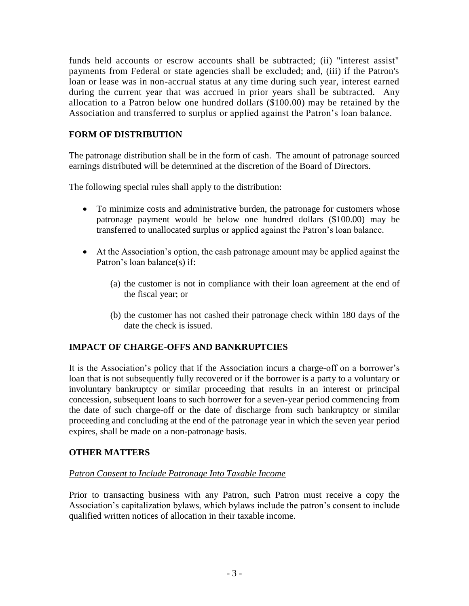funds held accounts or escrow accounts shall be subtracted; (ii) "interest assist" payments from Federal or state agencies shall be excluded; and, (iii) if the Patron's loan or lease was in non-accrual status at any time during such year, interest earned during the current year that was accrued in prior years shall be subtracted. Any allocation to a Patron below one hundred dollars (\$100.00) may be retained by the Association and transferred to surplus or applied against the Patron's loan balance.

# **FORM OF DISTRIBUTION**

The patronage distribution shall be in the form of cash. The amount of patronage sourced earnings distributed will be determined at the discretion of the Board of Directors.

The following special rules shall apply to the distribution:

- To minimize costs and administrative burden, the patronage for customers whose patronage payment would be below one hundred dollars (\$100.00) may be transferred to unallocated surplus or applied against the Patron's loan balance.
- At the Association's option, the cash patronage amount may be applied against the Patron's loan balance(s) if:
	- (a) the customer is not in compliance with their loan agreement at the end of the fiscal year; or
	- (b) the customer has not cashed their patronage check within 180 days of the date the check is issued.

# **IMPACT OF CHARGE-OFFS AND BANKRUPTCIES**

It is the Association's policy that if the Association incurs a charge-off on a borrower's loan that is not subsequently fully recovered or if the borrower is a party to a voluntary or involuntary bankruptcy or similar proceeding that results in an interest or principal concession, subsequent loans to such borrower for a seven-year period commencing from the date of such charge-off or the date of discharge from such bankruptcy or similar proceeding and concluding at the end of the patronage year in which the seven year period expires, shall be made on a non-patronage basis.

# **OTHER MATTERS**

#### *Patron Consent to Include Patronage Into Taxable Income*

Prior to transacting business with any Patron, such Patron must receive a copy the Association's capitalization bylaws, which bylaws include the patron's consent to include qualified written notices of allocation in their taxable income.